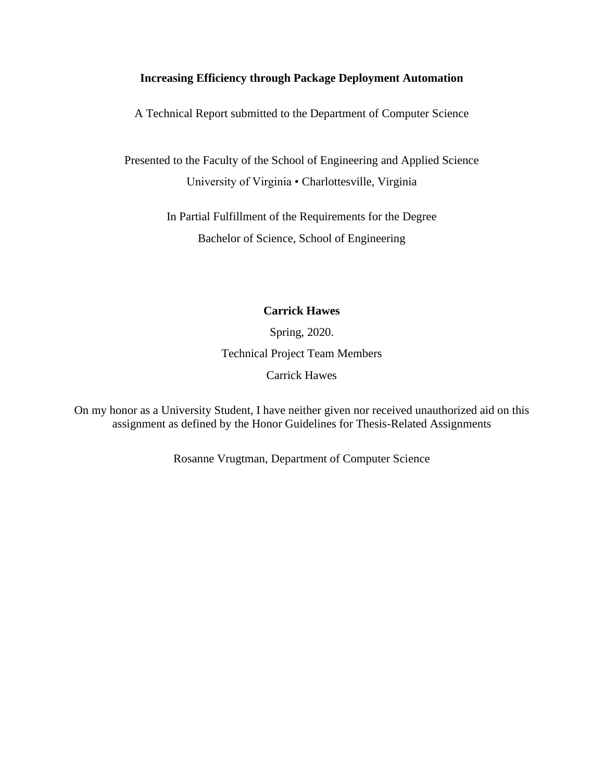# **Increasing Efficiency through Package Deployment Automation**

A Technical Report submitted to the Department of Computer Science

Presented to the Faculty of the School of Engineering and Applied Science University of Virginia • Charlottesville, Virginia

> In Partial Fulfillment of the Requirements for the Degree Bachelor of Science, School of Engineering

# **Carrick Hawes**

Spring, 2020. Technical Project Team Members Carrick Hawes

On my honor as a University Student, I have neither given nor received unauthorized aid on this assignment as defined by the Honor Guidelines for Thesis-Related Assignments

Rosanne Vrugtman, Department of Computer Science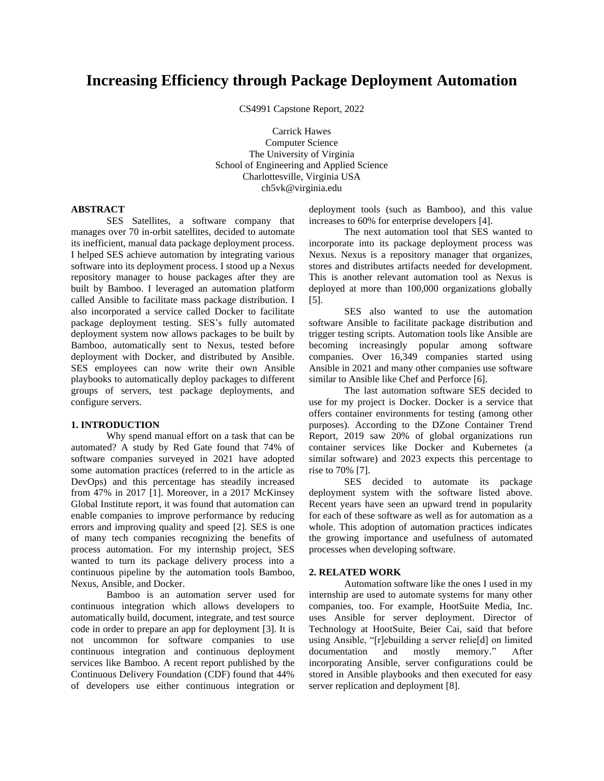# **Increasing Efficiency through Package Deployment Automation**

CS4991 Capstone Report, 2022

Carrick Hawes Computer Science The University of Virginia School of Engineering and Applied Science Charlottesville, Virginia USA ch5vk@virginia.edu

#### **ABSTRACT**

SES Satellites, a software company that manages over 70 in-orbit satellites, decided to automate its inefficient, manual data package deployment process. I helped SES achieve automation by integrating various software into its deployment process. I stood up a Nexus repository manager to house packages after they are built by Bamboo. I leveraged an automation platform called Ansible to facilitate mass package distribution. I also incorporated a service called Docker to facilitate package deployment testing. SES's fully automated deployment system now allows packages to be built by Bamboo, automatically sent to Nexus, tested before deployment with Docker, and distributed by Ansible. SES employees can now write their own Ansible playbooks to automatically deploy packages to different groups of servers, test package deployments, and configure servers.

#### **1. INTRODUCTION**

Why spend manual effort on a task that can be automated? A study by Red Gate found that 74% of software companies surveyed in 2021 have adopted some automation practices (referred to in the article as DevOps) and this percentage has steadily increased from 47% in 2017 [1]. Moreover, in a 2017 McKinsey Global Institute report, it was found that automation can enable companies to improve performance by reducing errors and improving quality and speed [2]. SES is one of many tech companies recognizing the benefits of process automation. For my internship project, SES wanted to turn its package delivery process into a continuous pipeline by the automation tools Bamboo, Nexus, Ansible, and Docker.

Bamboo is an automation server used for continuous integration which allows developers to automatically build, document, integrate, and test source code in order to prepare an app for deployment [3]. It is not uncommon for software companies to use continuous integration and continuous deployment services like Bamboo. A recent report published by the Continuous Delivery Foundation (CDF) found that 44% of developers use either continuous integration or deployment tools (such as Bamboo), and this value increases to 60% for enterprise developers [4].

The next automation tool that SES wanted to incorporate into its package deployment process was Nexus. Nexus is a repository manager that organizes, stores and distributes artifacts needed for development. This is another relevant automation tool as Nexus is deployed at more than 100,000 organizations globally [5].

SES also wanted to use the automation software Ansible to facilitate package distribution and trigger testing scripts. Automation tools like Ansible are becoming increasingly popular among software companies. Over 16,349 companies started using Ansible in 2021 and many other companies use software similar to Ansible like Chef and Perforce [6].

The last automation software SES decided to use for my project is Docker. Docker is a service that offers container environments for testing (among other purposes). According to the DZone Container Trend Report, 2019 saw 20% of global organizations run container services like Docker and Kubernetes (a similar software) and 2023 expects this percentage to rise to 70% [7].

SES decided to automate its package deployment system with the software listed above. Recent years have seen an upward trend in popularity for each of these software as well as for automation as a whole. This adoption of automation practices indicates the growing importance and usefulness of automated processes when developing software.

#### **2. RELATED WORK**

Automation software like the ones I used in my internship are used to automate systems for many other companies, too. For example, HootSuite Media, Inc. uses Ansible for server deployment. Director of Technology at HootSuite, Beier Cai, said that before using Ansible, "[r]ebuilding a server relie[d] on limited documentation and mostly memory." After incorporating Ansible, server configurations could be stored in Ansible playbooks and then executed for easy server replication and deployment [8].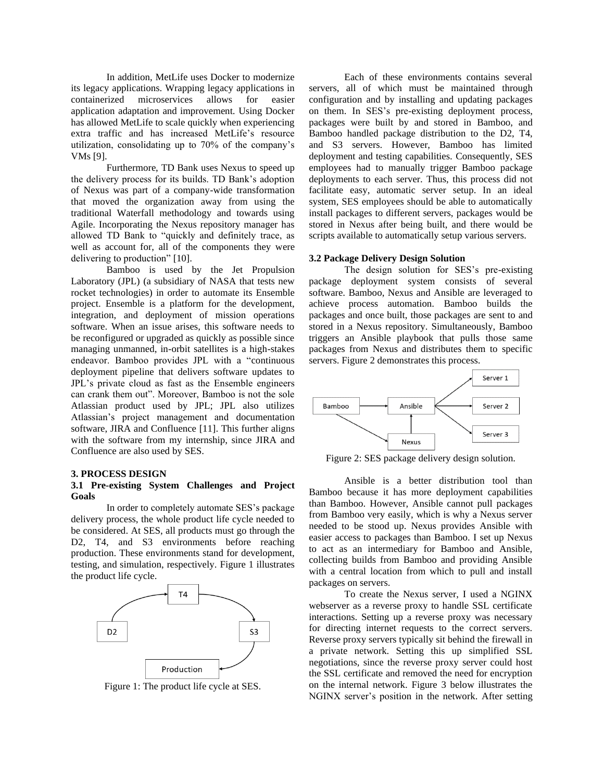In addition, MetLife uses Docker to modernize its legacy applications. Wrapping legacy applications in containerized microservices allows for easier application adaptation and improvement. Using Docker has allowed MetLife to scale quickly when experiencing extra traffic and has increased MetLife's resource utilization, consolidating up to 70% of the company's VMs [9].

Furthermore, TD Bank uses Nexus to speed up the delivery process for its builds. TD Bank's adoption of Nexus was part of a company-wide transformation that moved the organization away from using the traditional Waterfall methodology and towards using Agile. Incorporating the Nexus repository manager has allowed TD Bank to "quickly and definitely trace, as well as account for, all of the components they were delivering to production" [10].

Bamboo is used by the Jet Propulsion Laboratory (JPL) (a subsidiary of NASA that tests new rocket technologies) in order to automate its Ensemble project. Ensemble is a platform for the development, integration, and deployment of mission operations software. When an issue arises, this software needs to be reconfigured or upgraded as quickly as possible since managing unmanned, in-orbit satellites is a high-stakes endeavor. Bamboo provides JPL with a "continuous deployment pipeline that delivers software updates to JPL's private cloud as fast as the Ensemble engineers can crank them out". Moreover, Bamboo is not the sole Atlassian product used by JPL; JPL also utilizes Atlassian's project management and documentation software, JIRA and Confluence [11]. This further aligns with the software from my internship, since JIRA and Confluence are also used by SES.

#### **3. PROCESS DESIGN**

# **3.1 Pre-existing System Challenges and Project Goals**

In order to completely automate SES's package delivery process, the whole product life cycle needed to be considered. At SES, all products must go through the D2, T4, and S3 environments before reaching production. These environments stand for development, testing, and simulation, respectively. Figure 1 illustrates the product life cycle.



Figure 1: The product life cycle at SES.

Each of these environments contains several servers, all of which must be maintained through configuration and by installing and updating packages on them. In SES's pre-existing deployment process, packages were built by and stored in Bamboo, and Bamboo handled package distribution to the D2, T4, and S3 servers. However, Bamboo has limited deployment and testing capabilities. Consequently, SES employees had to manually trigger Bamboo package deployments to each server. Thus, this process did not facilitate easy, automatic server setup. In an ideal system, SES employees should be able to automatically install packages to different servers, packages would be stored in Nexus after being built, and there would be scripts available to automatically setup various servers.

#### **3.2 Package Delivery Design Solution**

The design solution for SES's pre-existing package deployment system consists of several software. Bamboo, Nexus and Ansible are leveraged to achieve process automation. Bamboo builds the packages and once built, those packages are sent to and stored in a Nexus repository. Simultaneously, Bamboo triggers an Ansible playbook that pulls those same packages from Nexus and distributes them to specific servers. Figure 2 demonstrates this process.



Figure 2: SES package delivery design solution.

Ansible is a better distribution tool than Bamboo because it has more deployment capabilities than Bamboo. However, Ansible cannot pull packages from Bamboo very easily, which is why a Nexus server needed to be stood up. Nexus provides Ansible with easier access to packages than Bamboo. I set up Nexus to act as an intermediary for Bamboo and Ansible, collecting builds from Bamboo and providing Ansible with a central location from which to pull and install packages on servers.

To create the Nexus server, I used a NGINX webserver as a reverse proxy to handle SSL certificate interactions. Setting up a reverse proxy was necessary for directing internet requests to the correct servers. Reverse proxy servers typically sit behind the firewall in a private network. Setting this up simplified SSL negotiations, since the reverse proxy server could host the SSL certificate and removed the need for encryption on the internal network. Figure 3 below illustrates the NGINX server's position in the network. After setting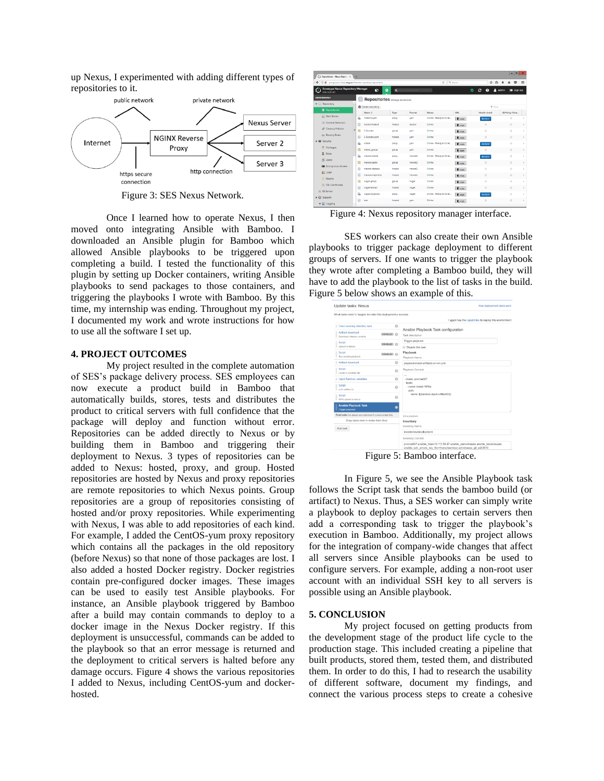up Nexus, I experimented with adding different types of repositories to it.



Figure 3: SES Nexus Network.

Once I learned how to operate Nexus, I then moved onto integrating Ansible with Bamboo. I downloaded an Ansible plugin for Bamboo which allowed Ansible playbooks to be triggered upon completing a build. I tested the functionality of this plugin by setting up Docker containers, writing Ansible playbooks to send packages to those containers, and triggering the playbooks I wrote with Bamboo. By this time, my internship was ending. Throughout my project, I documented my work and wrote instructions for how to use all the software I set up.

# **4. PROJECT OUTCOMES**

My project resulted in the complete automation of SES's package delivery process. SES employees can now execute a product build in Bamboo that automatically builds, stores, tests and distributes the product to critical servers with full confidence that the package will deploy and function without error. Repositories can be added directly to Nexus or by building them in Bamboo and triggering their deployment to Nexus. 3 types of repositories can be added to Nexus: hosted, proxy, and group. Hosted repositories are hosted by Nexus and proxy repositories are remote repositories to which Nexus points. Group repositories are a group of repositories consisting of hosted and/or proxy repositories. While experimenting with Nexus, I was able to add repositories of each kind. For example, I added the CentOS-yum proxy repository which contains all the packages in the old repository (before Nexus) so that none of those packages are lost. I also added a hosted Docker registry. Docker registries contain pre-configured docker images. These images can be used to easily test Ansible playbooks. For instance, an Ansible playbook triggered by Bamboo after a build may contain commands to deploy to a docker image in the Nexus Docker registry. If this deployment is unsuccessful, commands can be added to the playbook so that an error message is returned and the deployment to critical servers is halted before any damage occurs. Figure 4 shows the various repositories I added to Nexus, including CentOS-yum and dockerhosted.

| Ca Repositories - Nexus Reposit X                                    | $\rightarrow$ |    |                                       |              |               |                                                 |                |                     |                |         | $ \circ$           | $\mathbf{x}$ |
|----------------------------------------------------------------------|---------------|----|---------------------------------------|--------------|---------------|-------------------------------------------------|----------------|---------------------|----------------|---------|--------------------|--------------|
| $\leftarrow$<br>40 K pergeoastidessangan/fadmin/repoitcey/repoitcies |               |    |                                       |              |               | Q <sub>s</sub> Search<br>$\mathcal{C}^{\prime}$ | ☆<br>自         |                     |                | $\circ$ | Ξ                  |              |
| Sonatype Nexus Repository Manager<br>053321101                       |               |    | ø<br>۰                                | $\alpha$     |               |                                                 |                | ۵                   |                | edmin   | <b>ED</b> Sign out |              |
| <b>Administration</b>                                                |               |    | <b>Repositories</b> Manua represented |              |               |                                                 |                |                     |                |         |                    |              |
| $\mathbf{v} \in \mathbb{R}$ Repository                               | l a           |    | O Create repository                   |              |               |                                                 |                |                     | <b>Y</b> Fiter |         |                    |              |
| <b>B</b> Repositories                                                |               |    | Name +                                | Type         | <b>Formet</b> | Status                                          | <b>URL</b>     | <b>Health check</b> |                |         | IQ Policy Viola    |              |
| <b>Diab Stores</b>                                                   |               | e  | CentOS-yam                            | prany        | <b>Vall</b>   | Online - Ready to Conn                          | Copy           | Analyze             |                |         | Ø                  | ٠            |
| (E) Cornent Selectors                                                |               | ₿  | docker horsed                         | hosted       | docker        | Online                                          | <b>In</b> copy | $\circ$             |                |         | $\circ$            | ×            |
| Cleanup Policies                                                     | $\equiv$      | 晤  | E-Scenze                              | oroup        | <b>Visito</b> | Online                                          | <b>B</b> copy  | $\circ$             |                |         | $\circ$            | ٠            |
| <b>All Routing Rules</b>                                             |               | 8  | E-Scorpio-yum                         | hosted       | yum           | Online                                          | <b>IN</b> copy | $\circ$             |                |         | $\circ$            | ٠            |
| v @ Security                                                         |               | g, | edtest                                | pront        | vum           | Onino - Ready to Conn                           | <b>IS copy</b> | Analyze             |                |         | Ø                  | ٠            |
| <b>F</b> Privileges                                                  |               | 田  | echest_group                          | group        | yum           | Online                                          | <b>D</b> copy  | $\circ$             |                |         | $\circ$            | $\mathbf{y}$ |
| 昱<br>Roles                                                           |               | g  | maven-central                         | <b>DFOXY</b> | maven2        | Online - Ready to Conn                          | <b>D</b> oopy  | Analyze             |                |         | Ø                  | ×            |
| 思 Usors                                                              |               | 田  | maven-public                          | group        | $m$ aven $2$  | Online                                          | <b>IN</b> copy | $\circ$             |                |         | $\circ$            | ٠            |
| <b>LE</b> Anonymous Access                                           |               | e  | meyon, released                       | houses       | mause3        | Onine                                           | <b>IS copy</b> | $\circ$             |                |         | $\circ$            | $\sim$       |
| <b>ELDAP</b>                                                         |               | ₿  | mayin-snapshots                       | hosted       | $m$ rver $2$  | Online                                          | <b>Th</b> copy | $\circ$             |                |         | $\circ$            | ×            |
| (i) Repims                                                           |               | 图  | nuses group                           | group        | nuget         | Online                                          | <b>B</b> copy  | $\circ$             |                |         | $\circ$            | ٠            |
| SSL Certificates                                                     |               | E  | nuget-hosted                          | hosted       | nuoet         | Online                                          | <b>B</b> copy  | $\circ$             |                |         | $\circ$            | ٠            |
| <b>GI IQ Server</b>                                                  |               | ß  | nuget.org-proxy                       | prany        | nupet         | Online - Ready to Conn                          | <b>D</b> copy  | Atolyze             |                |         | $\circ$            | ٠            |
| $\blacktriangledown$ 63 Support                                      |               | 8  | test                                  | hosted       | vam           | Online                                          | <b>B</b> copy  | $\circ$             |                |         | $\circ$            | $\mathbf{r}$ |
| $\mathbf{v} \equiv$ Logging                                          | $\sim$        |    |                                       |              |               |                                                 |                |                     |                |         |                    |              |

Figure 4: Nexus repository manager interface.

SES workers can also create their own Ansible playbooks to trigger package deployment to different groups of servers. If one wants to trigger the playbook they wrote after completing a Bamboo build, they will have to add the playbook to the list of tasks in the build. Figure 5 below shows an example of this.

| What tasks need to happen to make this deployment a success   |                                                                                                                                                 |  |  |  |  |  |
|---------------------------------------------------------------|-------------------------------------------------------------------------------------------------------------------------------------------------|--|--|--|--|--|
| Clean working directory task                                  | 1 agent has the capabilities to deploy this environment<br>o                                                                                    |  |  |  |  |  |
|                                                               | Ansible Playbook Task configuration                                                                                                             |  |  |  |  |  |
| Artifact download<br>DISABLED C<br>Download release contents  | Task description                                                                                                                                |  |  |  |  |  |
| Script<br>DISABLED C                                          | Trigger playbook                                                                                                                                |  |  |  |  |  |
| Upload to Nexus                                               | <b>Dispble this task</b>                                                                                                                        |  |  |  |  |  |
| $\equiv$ Script<br>DISABLED C<br>Run ansible playbook         | Playbook                                                                                                                                        |  |  |  |  |  |
| $\equiv$ Artifact download                                    | Playbook Name<br>O<br>playbook-install-artifacts-on-vm.yml                                                                                      |  |  |  |  |  |
| Script<br>Ξ                                                   | Playbook Content<br>$\circ$                                                                                                                     |  |  |  |  |  |
| create a variables file                                       | $\sim$                                                                                                                                          |  |  |  |  |  |
| Il Inject Bamboo variables                                    | O<br>- hosts: prymne007                                                                                                                         |  |  |  |  |  |
| в<br>Script<br>echo artifact id                               | tasks:<br>- name: install RPMs<br>$\circ$<br>yum:                                                                                               |  |  |  |  |  |
| Script<br>RPM upload to nexus                                 | name: \$(bamboo.inject.artifactiD2)<br>$\circ$                                                                                                  |  |  |  |  |  |
| <b>Ansible Playbook Task</b><br>Trigger playbook              |                                                                                                                                                 |  |  |  |  |  |
| Final tasks Are always executed even if a previous task falls | Inline playbook                                                                                                                                 |  |  |  |  |  |
| Drag tasks here to make them final                            | Inventory                                                                                                                                       |  |  |  |  |  |
| Add task                                                      | Inventory Name                                                                                                                                  |  |  |  |  |  |
|                                                               | inventories/development                                                                                                                         |  |  |  |  |  |
|                                                               | Inventory Content                                                                                                                               |  |  |  |  |  |
|                                                               | prvmne007 ansible_host=10.113.58.47 ansible_user=chawes ansible_become=yes<br>ansible ssh private key file=/home/bamboo/.ssh/chawes.git.ed25519 |  |  |  |  |  |

Figure 5: Bamboo interface.

In Figure 5, we see the Ansible Playbook task follows the Script task that sends the bamboo build (or artifact) to Nexus. Thus, a SES worker can simply write a playbook to deploy packages to certain servers then add a corresponding task to trigger the playbook's execution in Bamboo. Additionally, my project allows for the integration of company-wide changes that affect all servers since Ansible playbooks can be used to configure servers. For example, adding a non-root user account with an individual SSH key to all servers is possible using an Ansible playbook.

# **5. CONCLUSION**

My project focused on getting products from the development stage of the product life cycle to the production stage. This included creating a pipeline that built products, stored them, tested them, and distributed them. In order to do this, I had to research the usability of different software, document my findings, and connect the various process steps to create a cohesive